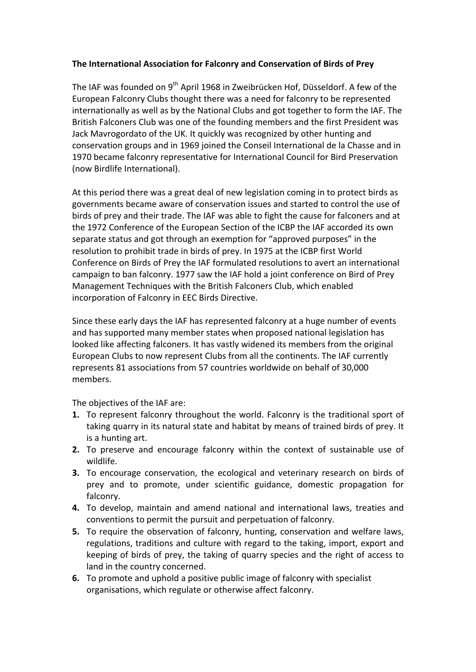## **The International Association for Falconry and Conservation of Birds of Prey**

The IAF was founded on  $9^{th}$  April 1968 in Zweibrücken Hof, Düsseldorf. A few of the European Falconry Clubs thought there was a need for falconry to be represented internationally as well as by the National Clubs and got together to form the IAF. The British Falconers Club was one of the founding members and the first President was Jack Mavrogordato of the UK. It quickly was recognized by other hunting and conservation groups and in 1969 ioined the Conseil International de la Chasse and in 1970 became falconry representative for International Council for Bird Preservation (now Birdlife International).

At this period there was a great deal of new legislation coming in to protect birds as governments became aware of conservation issues and started to control the use of birds of prey and their trade. The IAF was able to fight the cause for falconers and at the 1972 Conference of the European Section of the ICBP the IAF accorded its own separate status and got through an exemption for "approved purposes" in the resolution to prohibit trade in birds of prey. In 1975 at the ICBP first World Conference on Birds of Prey the IAF formulated resolutions to avert an international campaign to ban falconry. 1977 saw the IAF hold a joint conference on Bird of Prey Management Techniques with the British Falconers Club, which enabled incorporation of Falconry in EEC Birds Directive.

Since these early days the IAF has represented falconry at a huge number of events and has supported many member states when proposed national legislation has looked like affecting falconers. It has vastly widened its members from the original European Clubs to now represent Clubs from all the continents. The IAF currently represents 81 associations from 57 countries worldwide on behalf of 30,000 members.

The objectives of the IAF are:

- **1.** To represent falconry throughout the world. Falconry is the traditional sport of taking quarry in its natural state and habitat by means of trained birds of prey. It is a hunting art.
- **2.** To preserve and encourage falconry within the context of sustainable use of wildlife.
- **3.** To encourage conservation, the ecological and veterinary research on birds of prey and to promote, under scientific guidance, domestic propagation for falconry.
- **4.** To develop, maintain and amend national and international laws, treaties and conventions to permit the pursuit and perpetuation of falconry.
- **5.** To require the observation of falconry, hunting, conservation and welfare laws, regulations, traditions and culture with regard to the taking, import, export and keeping of birds of prey, the taking of quarry species and the right of access to land in the country concerned.
- **6.** To promote and uphold a positive public image of falconry with specialist organisations, which regulate or otherwise affect falconry.